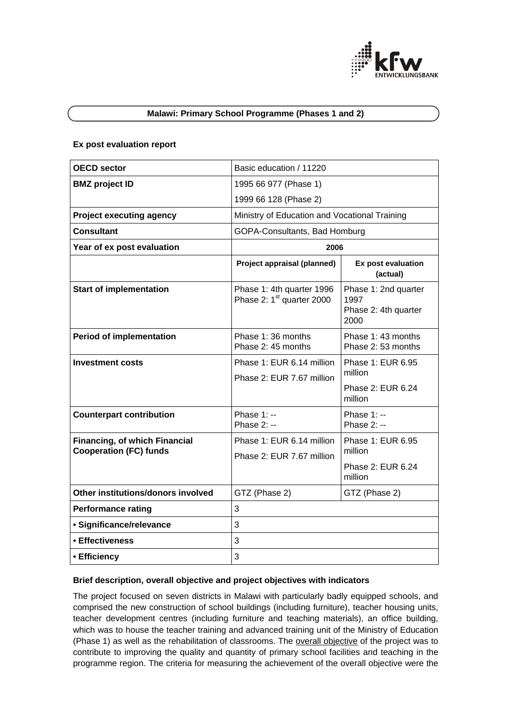

# **Malawi: Primary School Programme (Phases 1 and 2)**

### **Ex post evaluation report**

| <b>OECD sector</b>                                                    | Basic education / 11220                                            |                                                              |
|-----------------------------------------------------------------------|--------------------------------------------------------------------|--------------------------------------------------------------|
| <b>BMZ</b> project ID                                                 | 1995 66 977 (Phase 1)                                              |                                                              |
|                                                                       | 1999 66 128 (Phase 2)                                              |                                                              |
| <b>Project executing agency</b>                                       | Ministry of Education and Vocational Training                      |                                                              |
| <b>Consultant</b>                                                     | GOPA-Consultants, Bad Homburg                                      |                                                              |
| Year of ex post evaluation                                            | 2006                                                               |                                                              |
|                                                                       | Project appraisal (planned)                                        | Ex post evaluation<br>(actual)                               |
| <b>Start of implementation</b>                                        | Phase 1: 4th quarter 1996<br>Phase 2: 1 <sup>st</sup> quarter 2000 | Phase 1: 2nd quarter<br>1997<br>Phase 2: 4th quarter<br>2000 |
| <b>Period of implementation</b>                                       | Phase 1:36 months<br>Phase 2: 45 months                            | Phase 1: 43 months<br>Phase 2:53 months                      |
| <b>Investment costs</b>                                               | Phase 1: EUR 6.14 million<br>Phase 2: EUR 7.67 million             | Phase 1: EUR 6.95<br>million<br>Phase 2: EUR 6.24<br>million |
| <b>Counterpart contribution</b>                                       | Phase 1: --<br>Phase 2: --                                         | Phase $1: -$<br>Phase 2: --                                  |
| <b>Financing, of which Financial</b><br><b>Cooperation (FC) funds</b> | Phase 1: EUR 6.14 million<br>Phase 2: EUR 7.67 million             | Phase 1: EUR 6.95<br>million<br>Phase 2: EUR 6.24<br>million |
| Other institutions/donors involved                                    | GTZ (Phase 2)                                                      | GTZ (Phase 2)                                                |
| <b>Performance rating</b>                                             | 3                                                                  |                                                              |
| · Significance/relevance                                              | 3                                                                  |                                                              |
| • Effectiveness                                                       | 3                                                                  |                                                              |
| • Efficiency                                                          | 3                                                                  |                                                              |
|                                                                       |                                                                    |                                                              |

## **Brief description, overall objective and project objectives with indicators**

The project focused on seven districts in Malawi with particularly badly equipped schools, and comprised the new construction of school buildings (including furniture), teacher housing units, teacher development centres (including furniture and teaching materials), an office building, which was to house the teacher training and advanced training unit of the Ministry of Education (Phase 1) as well as the rehabilitation of classrooms. The overall objective of the project was to contribute to improving the quality and quantity of primary school facilities and teaching in the programme region. The criteria for measuring the achievement of the overall objective were the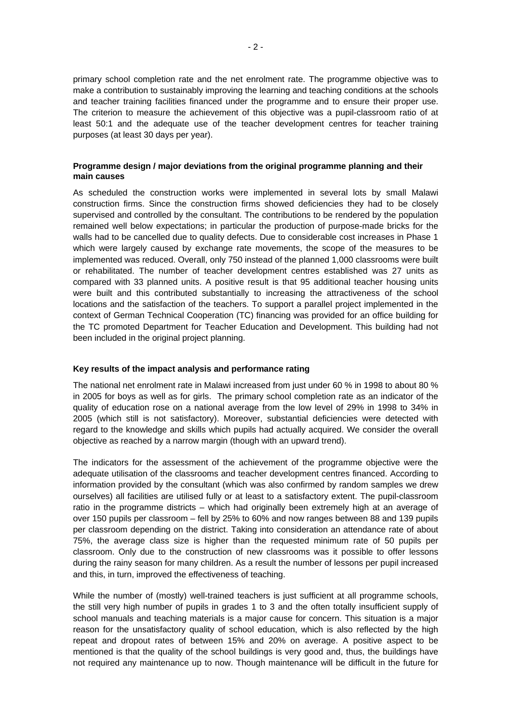primary school completion rate and the net enrolment rate. The programme objective was to make a contribution to sustainably improving the learning and teaching conditions at the schools and teacher training facilities financed under the programme and to ensure their proper use. The criterion to measure the achievement of this objective was a pupil-classroom ratio of at least 50:1 and the adequate use of the teacher development centres for teacher training purposes (at least 30 days per year).

## **Programme design / major deviations from the original programme planning and their main causes**

As scheduled the construction works were implemented in several lots by small Malawi construction firms. Since the construction firms showed deficiencies they had to be closely supervised and controlled by the consultant. The contributions to be rendered by the population remained well below expectations; in particular the production of purpose-made bricks for the walls had to be cancelled due to quality defects. Due to considerable cost increases in Phase 1 which were largely caused by exchange rate movements, the scope of the measures to be implemented was reduced. Overall, only 750 instead of the planned 1,000 classrooms were built or rehabilitated. The number of teacher development centres established was 27 units as compared with 33 planned units. A positive result is that 95 additional teacher housing units were built and this contributed substantially to increasing the attractiveness of the school locations and the satisfaction of the teachers. To support a parallel project implemented in the context of German Technical Cooperation (TC) financing was provided for an office building for the TC promoted Department for Teacher Education and Development. This building had not been included in the original project planning.

#### **Key results of the impact analysis and performance rating**

The national net enrolment rate in Malawi increased from just under 60 % in 1998 to about 80 % in 2005 for boys as well as for girls. The primary school completion rate as an indicator of the quality of education rose on a national average from the low level of 29% in 1998 to 34% in 2005 (which still is not satisfactory). Moreover, substantial deficiencies were detected with regard to the knowledge and skills which pupils had actually acquired. We consider the overall objective as reached by a narrow margin (though with an upward trend).

The indicators for the assessment of the achievement of the programme objective were the adequate utilisation of the classrooms and teacher development centres financed. According to information provided by the consultant (which was also confirmed by random samples we drew ourselves) all facilities are utilised fully or at least to a satisfactory extent. The pupil-classroom ratio in the programme districts – which had originally been extremely high at an average of over 150 pupils per classroom – fell by 25% to 60% and now ranges between 88 and 139 pupils per classroom depending on the district. Taking into consideration an attendance rate of about 75%, the average class size is higher than the requested minimum rate of 50 pupils per classroom. Only due to the construction of new classrooms was it possible to offer lessons during the rainy season for many children. As a result the number of lessons per pupil increased and this, in turn, improved the effectiveness of teaching.

While the number of (mostly) well-trained teachers is just sufficient at all programme schools, the still very high number of pupils in grades 1 to 3 and the often totally insufficient supply of school manuals and teaching materials is a major cause for concern. This situation is a major reason for the unsatisfactory quality of school education, which is also reflected by the high repeat and dropout rates of between 15% and 20% on average. A positive aspect to be mentioned is that the quality of the school buildings is very good and, thus, the buildings have not required any maintenance up to now. Though maintenance will be difficult in the future for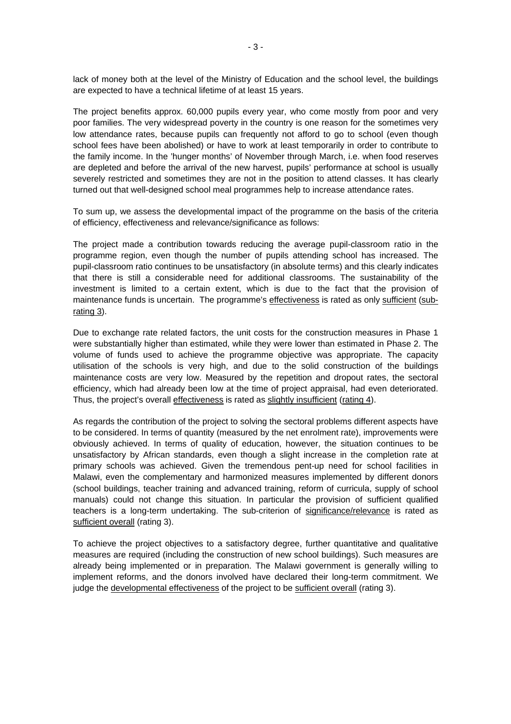lack of money both at the level of the Ministry of Education and the school level, the buildings are expected to have a technical lifetime of at least 15 years.

The project benefits approx. 60,000 pupils every year, who come mostly from poor and very poor families. The very widespread poverty in the country is one reason for the sometimes very low attendance rates, because pupils can frequently not afford to go to school (even though school fees have been abolished) or have to work at least temporarily in order to contribute to the family income. In the 'hunger months' of November through March, i.e. when food reserves are depleted and before the arrival of the new harvest, pupils' performance at school is usually severely restricted and sometimes they are not in the position to attend classes. It has clearly turned out that well-designed school meal programmes help to increase attendance rates.

To sum up, we assess the developmental impact of the programme on the basis of the criteria of efficiency, effectiveness and relevance/significance as follows:

The project made a contribution towards reducing the average pupil-classroom ratio in the programme region, even though the number of pupils attending school has increased. The pupil-classroom ratio continues to be unsatisfactory (in absolute terms) and this clearly indicates that there is still a considerable need for additional classrooms. The sustainability of the investment is limited to a certain extent, which is due to the fact that the provision of maintenance funds is uncertain. The programme's effectiveness is rated as only sufficient (subrating 3).

Due to exchange rate related factors, the unit costs for the construction measures in Phase 1 were substantially higher than estimated, while they were lower than estimated in Phase 2. The volume of funds used to achieve the programme objective was appropriate. The capacity utilisation of the schools is very high, and due to the solid construction of the buildings maintenance costs are very low. Measured by the repetition and dropout rates, the sectoral efficiency, which had already been low at the time of project appraisal, had even deteriorated. Thus, the project's overall effectiveness is rated as slightly insufficient (rating 4).

As regards the contribution of the project to solving the sectoral problems different aspects have to be considered. In terms of quantity (measured by the net enrolment rate), improvements were obviously achieved. In terms of quality of education, however, the situation continues to be unsatisfactory by African standards, even though a slight increase in the completion rate at primary schools was achieved. Given the tremendous pent-up need for school facilities in Malawi, even the complementary and harmonized measures implemented by different donors (school buildings, teacher training and advanced training, reform of curricula, supply of school manuals) could not change this situation. In particular the provision of sufficient qualified teachers is a long-term undertaking. The sub-criterion of significance/relevance is rated as sufficient overall (rating 3).

To achieve the project objectives to a satisfactory degree, further quantitative and qualitative measures are required (including the construction of new school buildings). Such measures are already being implemented or in preparation. The Malawi government is generally willing to implement reforms, and the donors involved have declared their long-term commitment. We judge the developmental effectiveness of the project to be sufficient overall (rating 3).